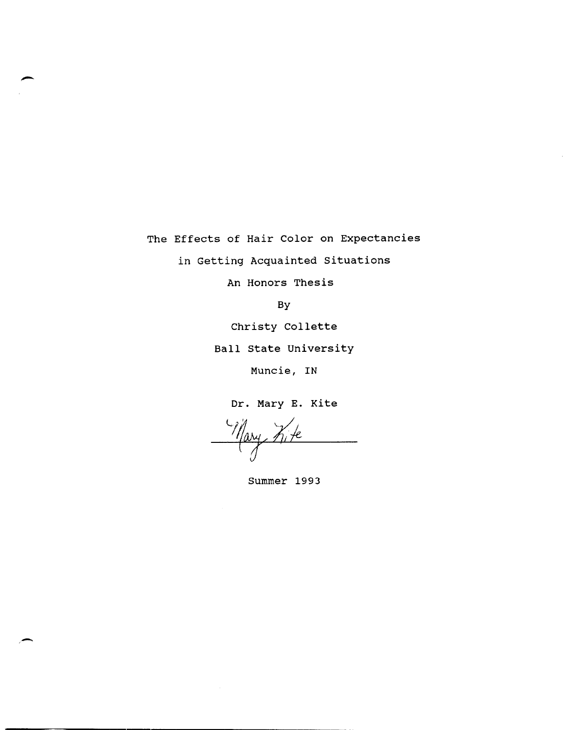The Effects of Hair Color on Expectancies

in Getting Acquainted situations

An Honors Thesis

By

Christy Collette

Ball state University

Muncie, IN

Dr. Mary E. Kite

Summer 1993

"-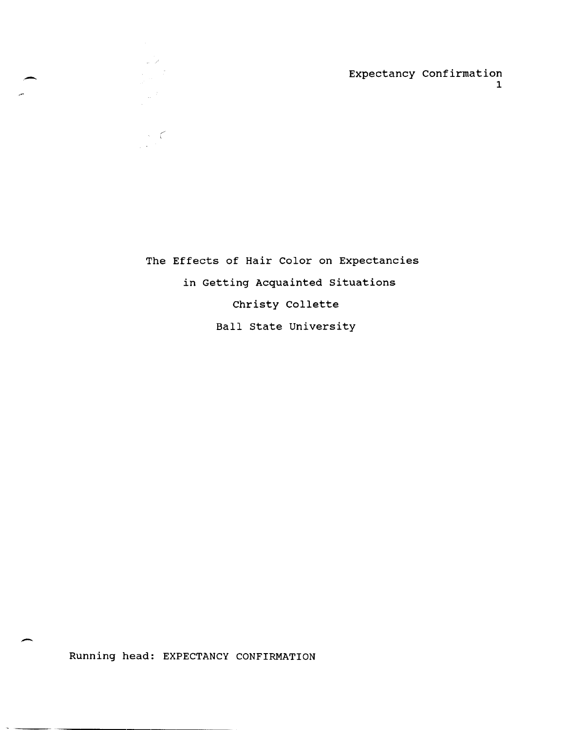The Effects of Hair Color on Expectancies in Getting Acquainted situations Christy Collette Ball state University

Running head: EXPECTANCY CONFIRMATION

/' c

 $\mathcal{L}^{\mathcal{L}}$ 

,-

-

 $\sim$   $\sim$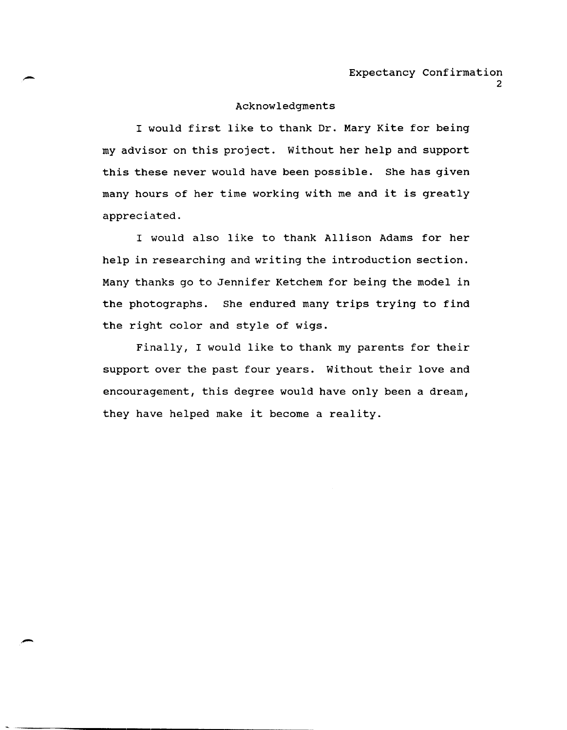#### Acknowledgments

I would first like to thank Dr. Mary Kite for being my advisor on this project. without her help and support this these never would have been possible. She has given many hours of her time working with me and it is greatly appreciated.

I would also like to thank Allison Adams for her help in researching and writing the introduction section. Many thanks go to Jennifer Ketchem for being the model in the photographs. She endured many trips trying to find the right color and style of wigs.

Finally, I would like to thank my parents for their support over the past four years. Without their love and encouragement, this degree would have only been a dream, they have helped make it become a reality.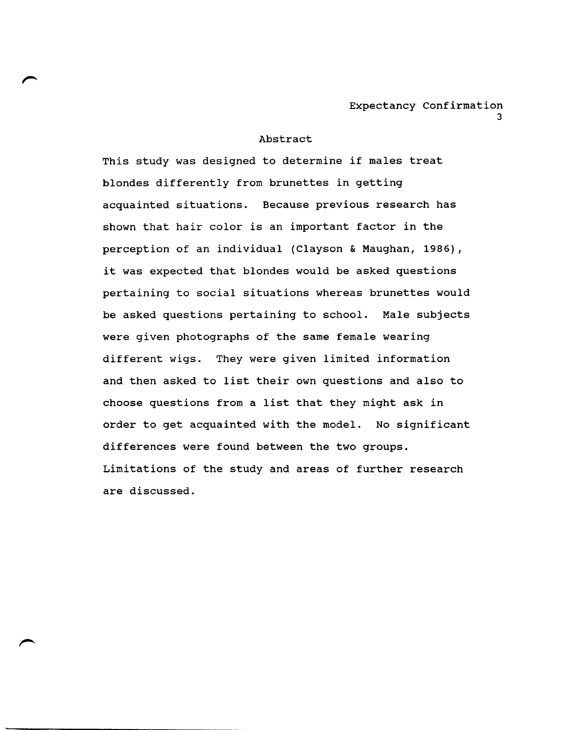## Abstract

This study was designed to determine if males treat blondes differently from brunettes in getting acquainted situations. Because previous research has shown that hair color is an important factor in the perception of an individual (Clayson & Maughan, 1986), it was expected that blondes would be asked questions pertaining to social situations whereas brunettes would be asked questions pertaining to school. Male subjects were given photographs of the same female wearing different wigs. They were given limited information and then asked to list their own questions and also to choose questions from a list that they might ask in order to get acquainted with the model. No significant differences were found between the two groups. Limitations of the study and areas of further research are discussed.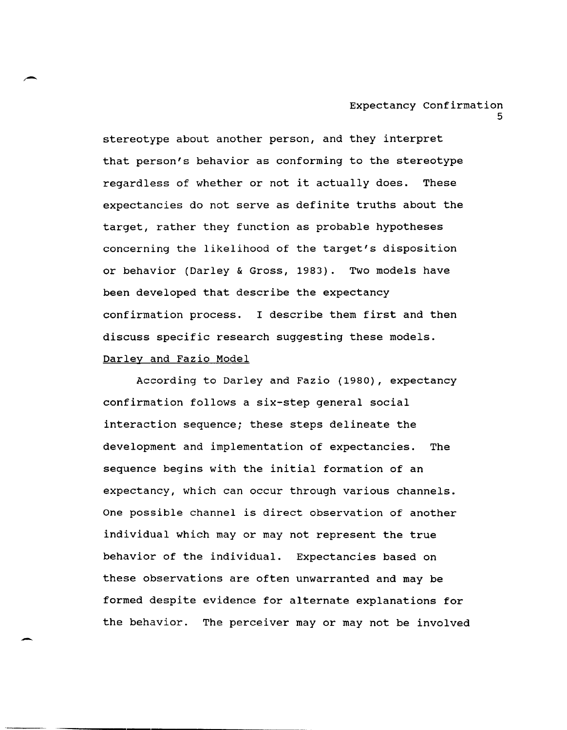stereotype about another person, and they interpret that person's behavior as conforming to the stereotype regardless of whether or not it actually does. These expectancies do not serve as definite truths about the target, rather they function as probable hypotheses concerning the likelihood of the target's disposition or behavior (Darley & Gross, 1983). Two models have been developed that describe the expectancy confirmation process. I describe them first and then discuss specific research suggesting these models. Darley and Fazio Model

According to Darley and Fazio (1980), expectancy confirmation follows a six-step general social interaction sequence; these steps delineate the development and implementation of expectancies. The sequence begins with the initial formation of an expectancy, which can occur through various channels. One possible channel is direct observation of another individual which may or may not represent the true behavior of the individual. Expectancies based on these observations are often unwarranted and may be formed despite evidence for alternate explanations for the behavior. The perceiver may or may not be involved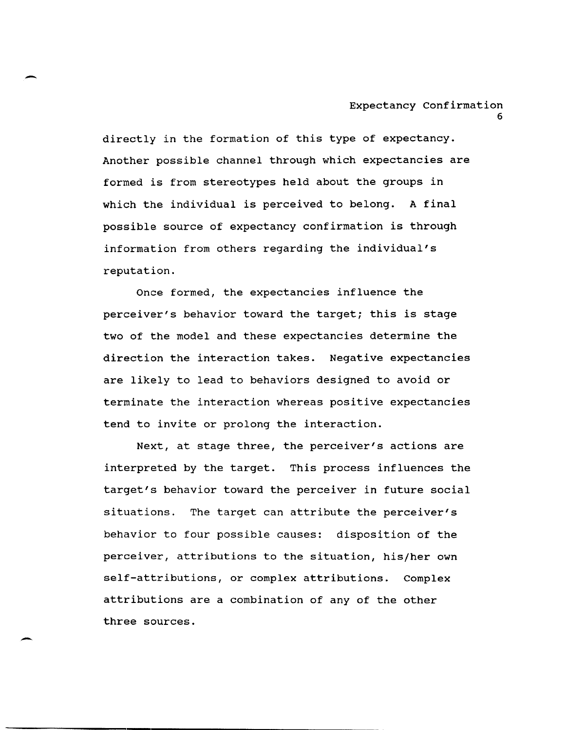directly in the formation of this type of expectancy. Another possible channel through which expectancies are formed is from stereotypes held about the groups in which the individual is perceived to belong. A final possible source of expectancy confirmation is through information from others regarding the individual's reputation.

-

-

Once formed, the expectancies influence the perceiver's behavior toward the target; this is stage two of the model and these expectancies determine the direction the interaction takes. Negative expectancies are likely to lead to behaviors designed to avoid or terminate the interaction whereas positive expectancies tend to invite or prolong the interaction.

Next, at stage three, the perceiver's actions are interpreted by the target. This process influences the target's behavior toward the perceiver in future social situations. The target can attribute the perceiver's behavior to four possible causes: disposition of the perceiver, attributions to the situation, his/her own self-attributions, or complex attributions. Complex attributions are a combination of any of the other three sources.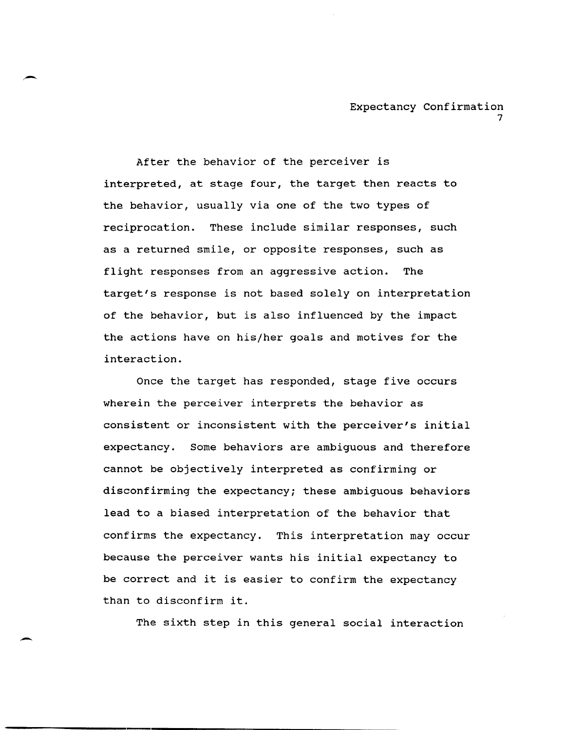After the behavior of the perceiver is interpreted, at stage four, the target then reacts to the behavior, usually via one of the two types of reciprocation. These include similar responses, such as a returned smile, or opposite responses, such as flight responses from an aggressive action. The target's response is not based solely on interpretation of the behavior, but is also influenced by the impact the actions have on his/her goals and motives for the interaction.

Once the target has responded, stage five occurs wherein the perceiver interprets the behavior as consistent or inconsistent with the perceiver's initial expectancy. Some behaviors are ambiguous and therefore cannot be objectively interpreted as confirming or disconfirming the expectancy; these ambiguous behaviors lead to a biased interpretation of the behavior that confirms the expectancy. This interpretation may occur because the perceiver wants his initial expectancy to be correct and it is easier to confirm the expectancy than to disconfirm it.

The sixth step in this general social interaction

-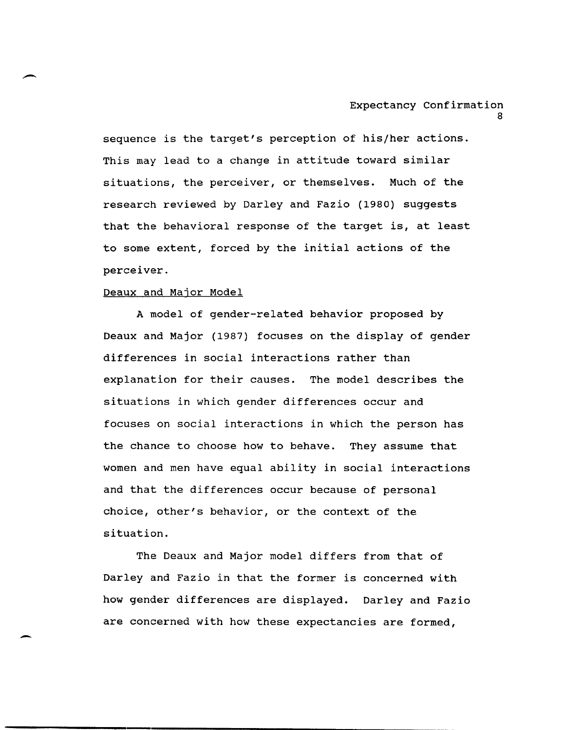sequence is the target's perception of his/her actions. This may lead to a change in attitude toward similar situations, the perceiver, or themselves. Much of the research reviewed by Darley and Fazio (1980) suggests that the behavioral response of the target is, at least to some extent, forced by the initial actions of the perceiver.

#### Deaux and Major Model

A model of gender-related behavior proposed by Deaux and Major (1987) focuses on the display of gender differences in social interactions rather than explanation for their causes. The model describes the situations in which gender differences occur and focuses on social interactions in which the person has the chance to choose how to behave. They assume that women and men have equal ability in social interactions and that the differences occur because of personal choice, other's behavior, or the context of the situation.

The Deaux and Major model differs from that of Darley and Fazio in that the former is concerned with how gender differences are displayed. Darley and Fazio are concerned with how these expectancies are formed,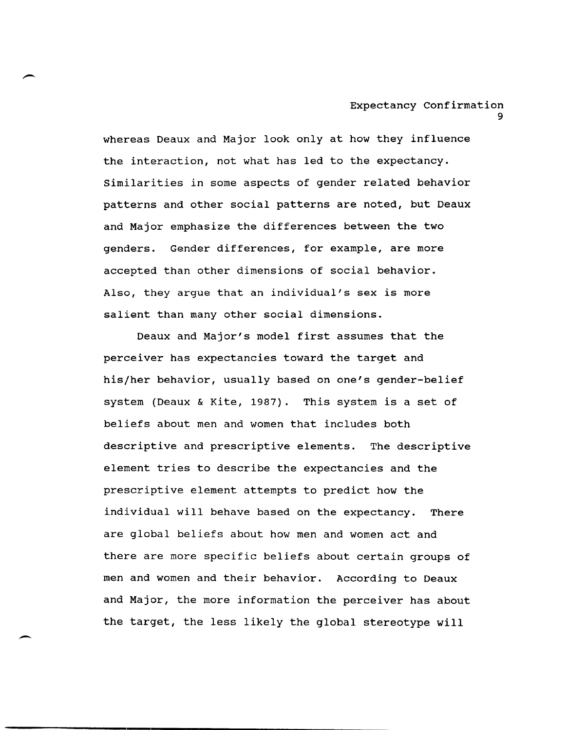whereas Deaux and Major look only at how they influence the interaction, not what has led to the expectancy. Similarities in some aspects of gender related behavior patterns and other social patterns are noted, but Deaux and Major emphasize the differences between the two genders. Gender differences, for example, are more accepted than other dimensions of social behavior. Also, they argue that an individual's sex is more salient than many other social dimensions.

Deaux and Major's model first assumes that the perceiver has expectancies toward the target and his/her behavior, usually based on one's gender-belief system (Deaux & Kite, 1987). This system is a set of beliefs about men and women that includes both descriptive and prescriptive elements. The descriptive element tries to describe the expectancies and the prescriptive element attempts to predict how the individual will behave based on the expectancy. There are global beliefs about how men and women act and there are more specific beliefs about certain groups of men and women and their behavior. According to Deaux and Major, the more information the perceiver has about the target, the less likely the global stereotype will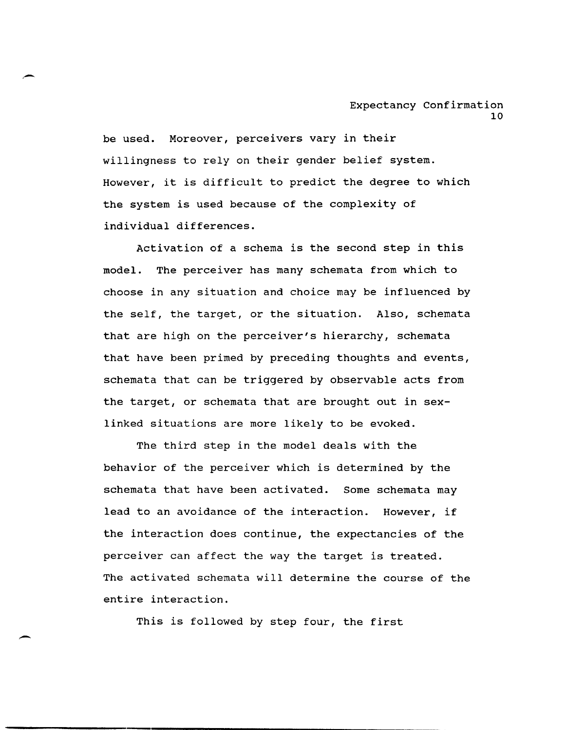be used. Moreover, perceivers vary in their willingness to rely on their gender belief system. However, it is difficult to predict the degree to which the system is used because of the complexity of individual differences.

Activation of a schema is the second step in this model. The perceiver has many schemata from which to choose in any situation and choice may be influenced by the self, the target, or the situation. Also, schemata that are high on the perceiver's hierarchy, schemata that have been primed by preceding thoughts and events, schemata that can be triggered by observable acts from the target, or schemata that are brought out in sexlinked situations are more likely to be evoked.

The third step in the model deals with the behavior of the perceiver which is determined by the schemata that have been activated. Some schemata may lead to an avoidance of the interaction. However, if the interaction does continue, the expectancies of the perceiver can affect the way the target is treated. The activated schemata will determine the course of the entire interaction.

This is followed by step four, the first

-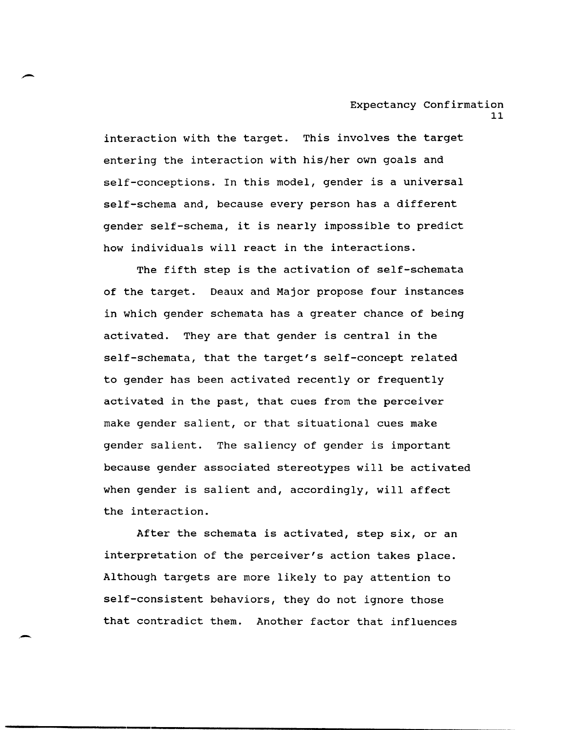interaction with the target. This involves the target entering the interaction with his/her own goals and self-conceptions. In this model, gender is a universal self-schema and, because every person has a different gender self-schema, it is nearly impossible to predict how individuals will react in the interactions.

The fifth step is the activation of self-schemata of the target. Deaux and Major propose four instances in which gender schemata has a greater chance of being activated. They are that gender is central in the self-schemata, that the target's self-concept related to gender has been activated recently or frequently activated in the past, that cues from the perceiver make gender salient, or that situational cues make gender salient. The saliency of gender is important because gender associated stereotypes will be activated when gender is salient and, accordingly, will affect the interaction.

After the schemata is activated, step six, or an interpretation of the perceiver's action takes place. Although targets are more likely to pay attention to self-consistent behaviors, they do not ignore those that contradict them. Another factor that influences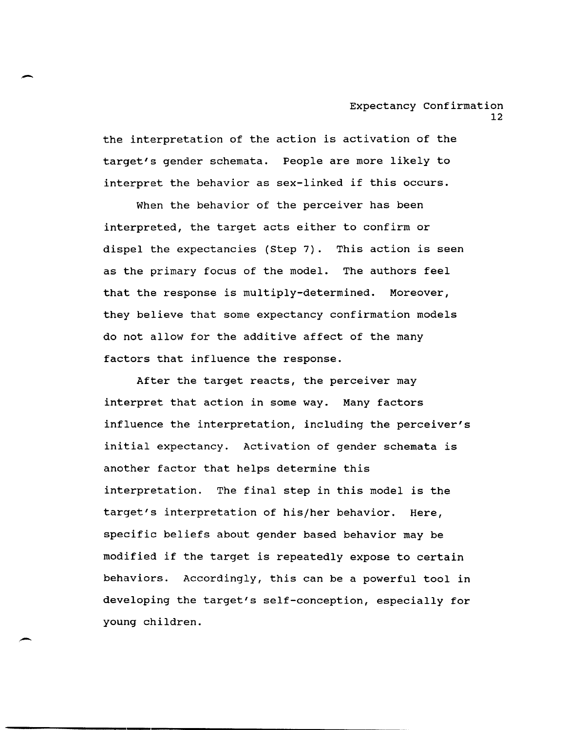the interpretation of the action is activation of the target's gender schemata. People are more likely to interpret the behavior as sex-linked if this occurs.

When the behavior of the perceiver has been interpreted, the target acts either to confirm or dispel the expectancies (step 7). This action is seen as the primary focus of the model. The authors feel that the response is multiply-determined. Moreover, they believe that some expectancy confirmation models do not allow for the additive affect of the many factors that influence the response.

After the target reacts, the perceiver may interpret that action in some way. Many factors influence the interpretation, including the perceiver's initial expectancy. Activation of gender schemata is another factor that helps determine this interpretation. The final step in this model is the target's interpretation of his/her behavior. Here, specific beliefs about gender based behavior may be modified if the target is repeatedly expose to certain behaviors. Accordingly, this can be a powerful tool in developing the target's self-conception, especially for young children.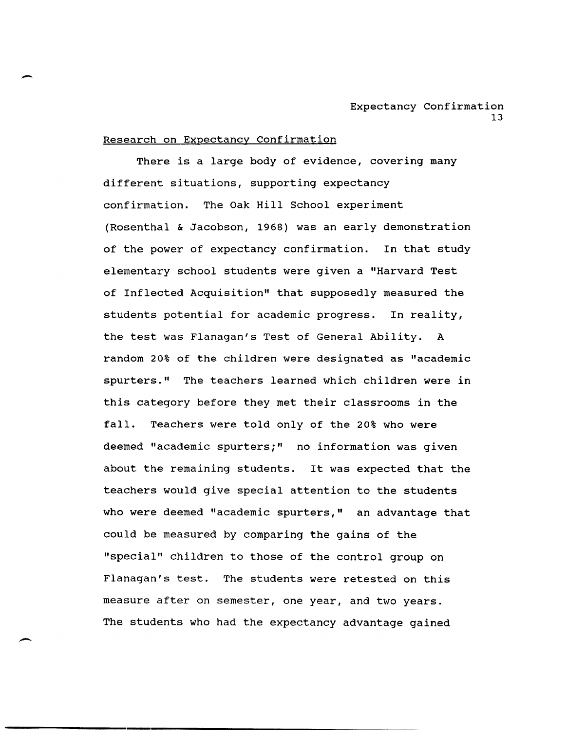#### Research on Expectancy Confirmation

-

-

There is a large body of evidence, covering many different situations, supporting expectancy confirmation. The Oak Hill School experiment (Rosenthal & Jacobson, 1968) was an early demonstration of the power of expectancy confirmation. In that study elementary school students were given a "Harvard Test of Inflected Acquisition" that supposedly measured the students potential for academic progress. In reality, the test was Flanagan's Test of General Ability. A random 20% of the children were designated as "academic spurters." The teachers learned which children were in this category before they met their classrooms in the fall. Teachers were told only of the 20% who were deemed "academic spurters;" no information was given about the remaining students. It was expected that the teachers would give special attention to the students who were deemed "academic spurters," an advantage that could be measured by comparing the gains of the "special" children to those of the control group on Flanagan's test. The students were retested on this measure after on semester, one year, and two years. The students who had the expectancy advantage gained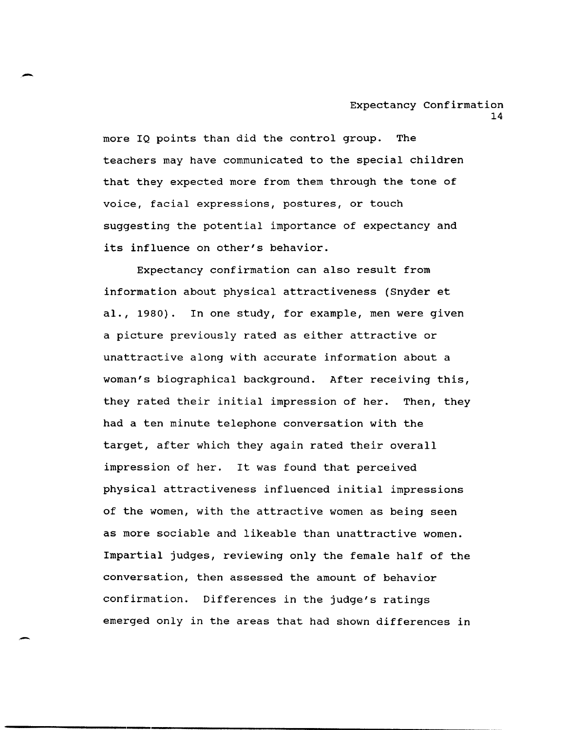more IQ points than did the control group. The teachers may have communicated to the special children that they expected more from them through the tone of voice, facial expressions, postures, or touch suggesting the potential importance of expectancy and its influence on other's behavior.

-

Expectancy confirmation can also result from information about physical attractiveness (Snyder et al., 1980). In one study, for example, men were given a picture previously rated as either attractive or unattractive along with accurate information about a woman's biographical background. After receiving this, they rated their initial impression of her. Then, they had a ten minute telephone conversation with the target, after which they again rated their overall impression of her. It was found that perceived physical attractiveness influenced initial impressions of the women, with the attractive women as being seen as more sociable and likeable than unattractive women. Impartial judges, reviewing only the female half of the conversation, then assessed the amount of behavior confirmation. Differences in the judge's ratings emerged only in the areas that had shown differences in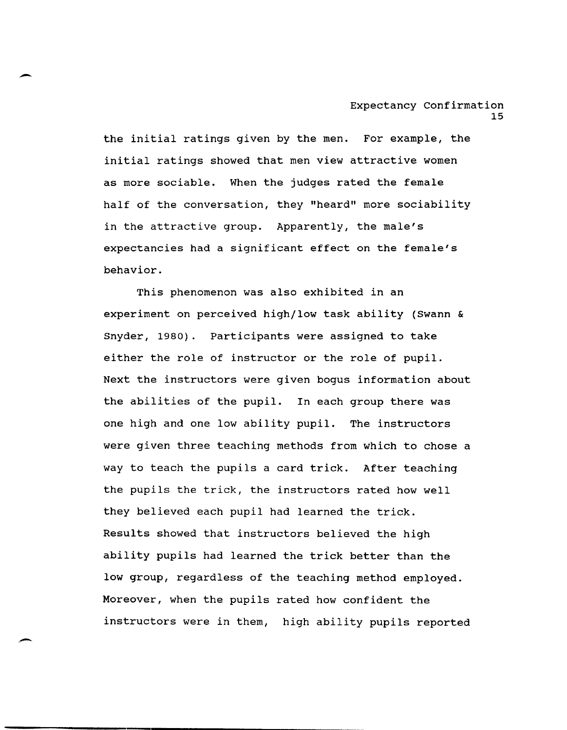the initial ratings given by the men. For example, the initial ratings showed that men view attractive women as more sociable. When the judges rated the female half of the conversation, they "heard" more sociability in the attractive group. Apparently, the male's expectancies had a significant effect on the female's behavior.

-

This phenomenon was also exhibited in an experiment on perceived high/low task ability (Swann & Snyder, 1980). Participants were assigned to take either the role of instructor or the role of pupil. Next the instructors were given bogus information about the abilities of the pupil. In each group there was one high and one low ability pupil. The instructors were given three teaching methods from which to chose a way to teach the pupils a card trick. After teaching the pupils the trick, the instructors rated how well they believed each pupil had learned the trick. Results showed that instructors believed the high ability pupils had learned the trick better than the low group, regardless of the teaching method employed. Moreover, when the pupils rated how confident the instructors were in them, high ability pupils reported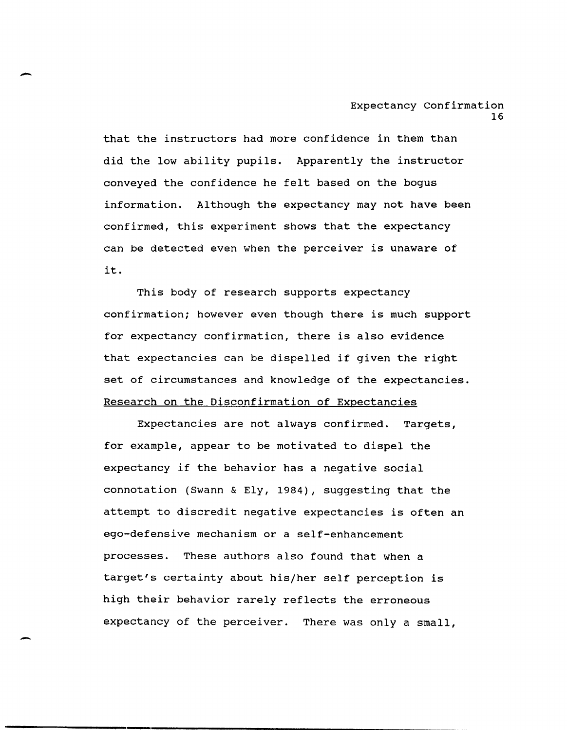that the instructors had more confidence in them than did the low ability pupils. Apparently the instructor conveyed the confidence he felt based on the bogus information. Although the expectancy may not have been confirmed, this experiment shows that the expectancy can be detected even when the perceiver is unaware of it.

This body of research supports expectancy confirmation; however even though there is much support for expectancy confirmation, there is also evidence that expectancies can be dispelled if given the right set of circumstances and knowledge of the expectancies. Research on the Disconfirmation of Expectancies

Expectancies are not always confirmed. Targets, for example, appear to be motivated to dispel the expectancy if the behavior has a negative social connotation (Swann & Ely, 1984), suggesting that the attempt to discredit negative expectancies is often an ego-defensive mechanism or a self-enhancement processes. These authors also found that when a target's certainty about his/her self perception is high their behavior rarely reflects the erroneous expectancy of the perceiver. There was only a small,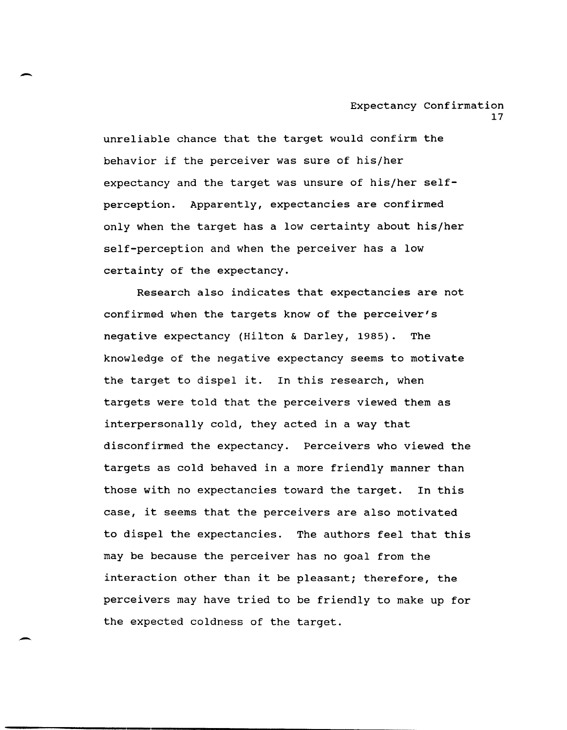unreliable chance that the target would confirm the behavior if the perceiver was sure of his/her expectancy and the target was unsure of his/her selfperception. Apparently, expectancies are confirmed only when the target has a low certainty about his/her self-perception and when the perceiver has a low certainty of the expectancy.

-

Research also indicates that expectancies are not confirmed when the targets know of the perceiver's negative expectancy (Hilton & Darley, 1985). The knowledge of the negative expectancy seems to motivate the target to dispel it. In this research, when targets were told that the perceivers viewed them as interpersonally cold, they acted in a way that disconfirmed the expectancy. Perceivers who viewed the targets as cold behaved in a more friendly manner than those with no expectancies toward the target. In this case, it seems that the perceivers are also motivated to dispel the expectancies. The authors feel that this may be because the perceiver has no goal from the interaction other than it be pleasant; therefore, the perceivers may have tried to be friendly to make up for the expected coldness of the target.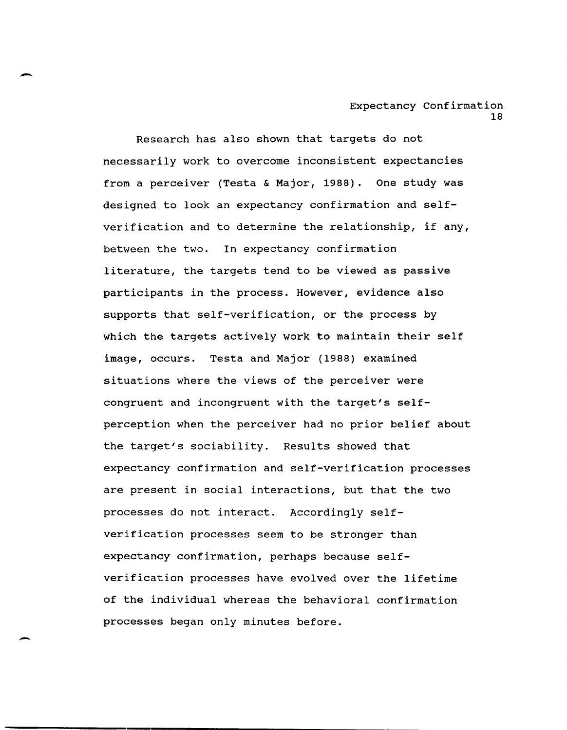Research has also shown that targets do not necessarily work to overcome inconsistent expectancies from a perceiver (Testa & Major, 1988). One study was designed to look an expectancy confirmation and selfverification and to determine the relationship, if any, between the two. In expectancy confirmation literature, the targets tend to be viewed as passive participants in the process. However, evidence also supports that self-verification, or the process by which the targets actively work to maintain their self image, occurs. Testa and Major (1988) examined situations where the views of the perceiver were congruent and incongruent with the target's selfperception when the perceiver had no prior belief about the target's sociability. Results showed that expectancy confirmation and self-verification processes are present in social interactions, but that the two processes do not interact. Accordingly selfverification processes seem to be stronger than expectancy confirmation, perhaps because selfverification processes have evolved over the lifetime of the individual whereas the behavioral confirmation processes began only minutes before.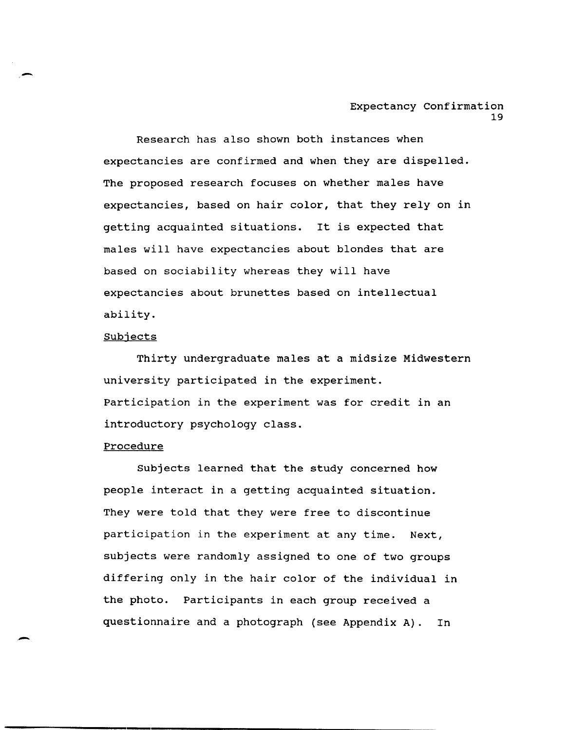Research has also shown both instances when expectancies are confirmed and when they are dispelled. The proposed research focuses on whether males have expectancies, based on hair color, that they rely on in getting acquainted situations. It is expected that males will have expectancies about blondes that are based on sociability whereas they will have expectancies about brunettes based on intellectual ability.

#### Subjects

Thirty undergraduate males at a midsize Midwestern university participated in the experiment. Participation in the experiment was for credit in an introductory psychology class.

#### **Procedure**

Subjects learned that the study concerned how people interact in a getting acquainted situation. They were told that they were free to discontinue participation in the experiment at any time. Next, subjects were randomly assigned to one of two groups differing only in the hair color of the individual in the photo. Participants in each group received a questionnaire and a photograph (see Appendix A). In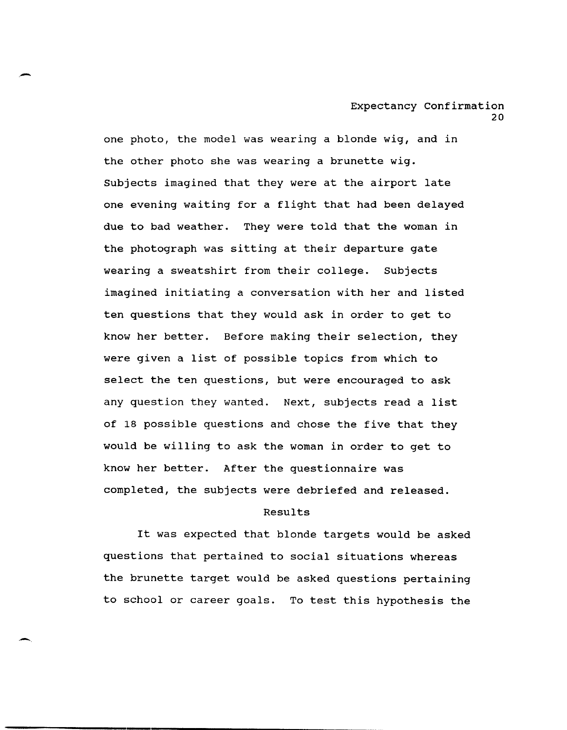one photo, the model was wearing a blonde wig, and in the other photo she was wearing a brunette wig. Subjects imagined that they were at the airport late one evening waiting for a flight that had been delayed due to bad weather. They were told that the woman in the photograph was sitting at their departure gate wearing a sweatshirt from their college. Subjects imagined initiating a conversation with her and listed ten questions that they would ask in order to get to know her better. Before making their selection, they were given a list of possible topics from which to select the ten questions, but were encouraged to ask any question they wanted. Next, subjects read a list of 18 possible questions and chose the five that they would be willing to ask the woman in order to get to know her better. After the questionnaire was completed, the subjects were debriefed and released.

-

.-.

# Results

It was expected that blonde targets would be asked questions that pertained to social situations whereas the brunette target would be asked questions pertaining to school or career goals. To test this hypothesis the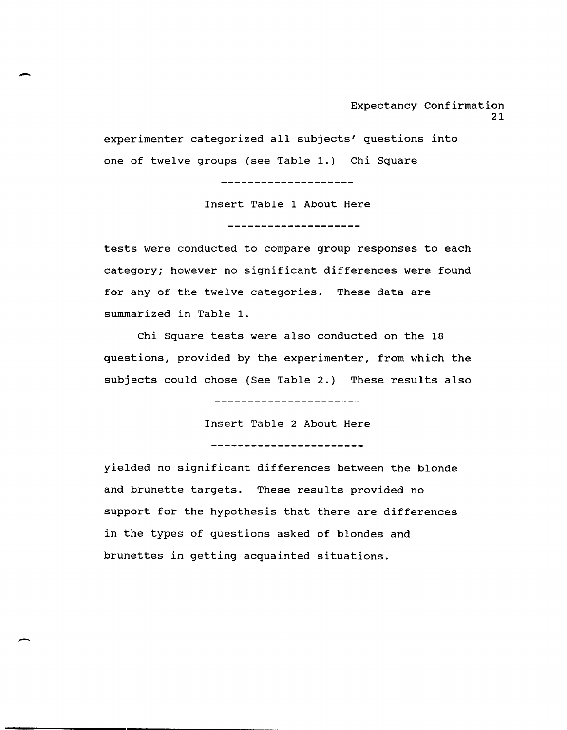experimenter categorized all subjects' questions into one of twelve groups (see Table 1.) Chi Square

> Insert Table 1 About Here ----------------------

---------------------

tests were conducted to compare group responses to each category; however no significant differences were found for any of the twelve categories. These data are summarized in Table 1.

Chi Square tests were also conducted on the 18 questions, provided by the experimenter, from which the subjects could chose (See Table 2.) These results also

-------------------

Insert Table 2 About Here ------------------------

yielded no significant differences between the blonde and brunette targets. These results provided no support for the hypothesis that there are differences in the types of questions asked of blondes and brunettes in getting acquainted situations.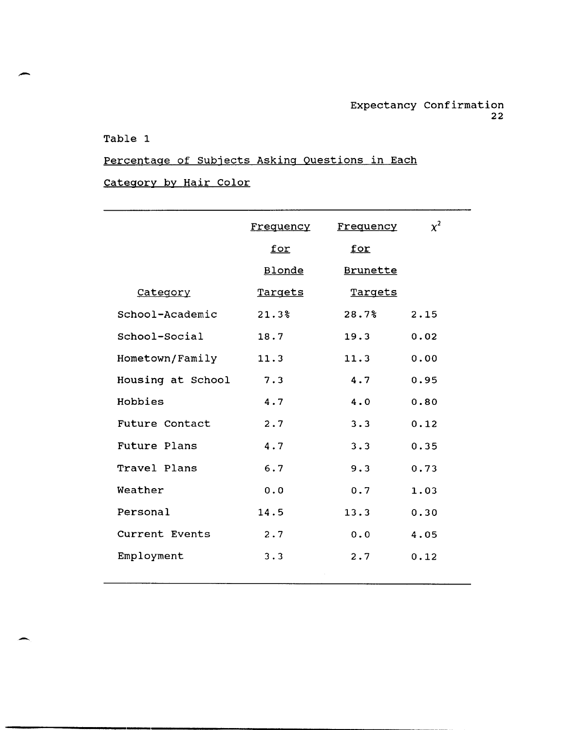# Table 1

-

# Percentage of Subjects Asking Questions in Each Category by Hair Color

|                     | <u>Frequency</u> | Frequency       | $\chi^2$ |
|---------------------|------------------|-----------------|----------|
|                     | for              | <u>for</u>      |          |
|                     | Blonde           | <b>Brunette</b> |          |
| Category            | Targets          | Targets         |          |
| School-Academic     | 21.3%            | 28.7%           | 2.15     |
| School-Social       | 18.7             | 19.3            | 0.02     |
| Hometown/Family     | 11.3             | 11.3            | 0.00     |
| Housing at School   | 7.3              | 4.7             | 0.95     |
| Hobbies             | 4.7              | 4.0             | 0.80     |
| Future Contact      | 2.7              | 3.3             | 0.12     |
| <b>Future Plans</b> | 4.7              | 3.3             | 0.35     |
| Travel Plans        | 6.7              | 9.3             | 0.73     |
| Weather             | 0.0              | 0.7             | 1.03     |
| Personal            | 14.5             | 13.3            | 0.30     |
| Current Events      | 2.7              | 0.0             | 4.05     |
| Employment          | 3.3              | 2.7             | 0.12     |
|                     |                  |                 |          |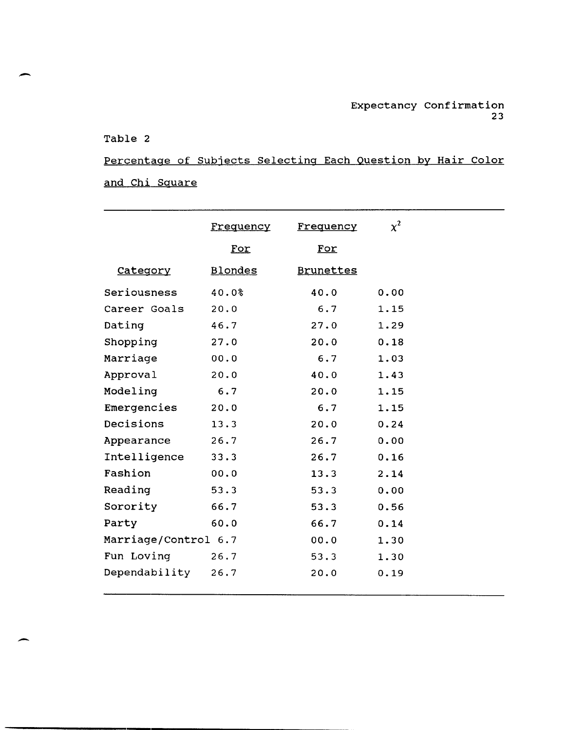# Table 2

-

-

Percentage of Subjects Selecting Each Question by Hair Color and Chi Square

|                      | Frequency      | Frequency        | $\chi^2$ |  |
|----------------------|----------------|------------------|----------|--|
|                      | For            | For              |          |  |
| Category             | <b>Blondes</b> | <b>Brunettes</b> |          |  |
| Seriousness          | 40.0%          | 40.0             | 0.00     |  |
| Career Goals         | 20.0           | 6.7              | 1.15     |  |
| Dating               | 46.7           | 27.0             | 1.29     |  |
| Shopping             | 27.0           | 20.0             | 0.18     |  |
| Marriage             | 00.0           | 6.7              | 1.03     |  |
| Approval             | 20.0           | 40.0             | 1.43     |  |
| Modeling             | 6.7            | 20.0             | 1.15     |  |
| Emergencies          | 20.0           | 6.7              | 1.15     |  |
| Decisions            | 13.3           | 20.0             | 0.24     |  |
| Appearance           | 26.7           | 26.7             | 0.00     |  |
| Intelligence         | 33.3           | 26.7             | 0.16     |  |
| Fashion              | 00.0           | 13.3             | 2.14     |  |
| Reading              | 53.3           | 53.3             | 0.00     |  |
| Sorority             | 66.7           | 53.3             | 0.56     |  |
| Party                | 60.0           | 66.7             | 0.14     |  |
| Marriage/Control 6.7 |                | 00.0             | 1.30     |  |
| Fun Loving           | 26.7           | 53.3             | 1.30     |  |
| Dependability        | 26.7           | 20.0             | 0.19     |  |
|                      |                |                  |          |  |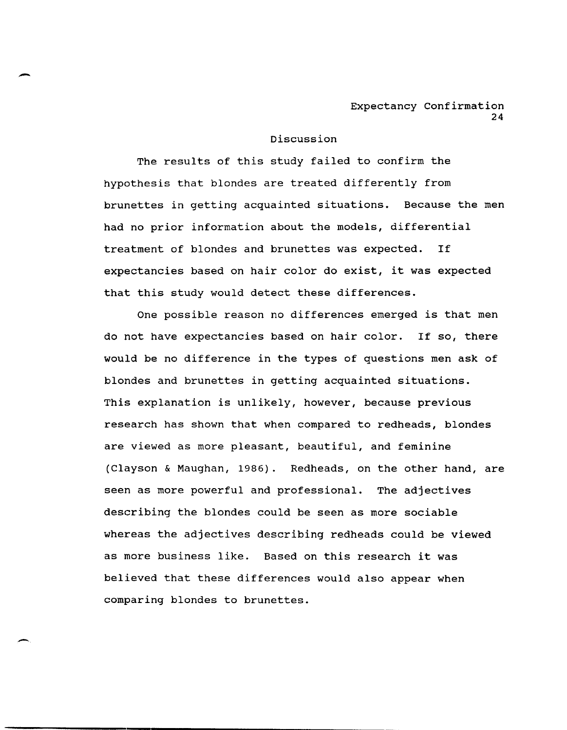## Discussion

-

-.

The results of this study failed to confirm the hypothesis that blondes are treated differently from brunettes in getting acquainted situations. Because the men had no prior information about the models, differential treatment of blondes and brunettes was expected. If expectancies based on hair color do exist, it was expected that this study would detect these differences.

One possible reason no differences emerged is that men do not have expectancies based on hair color. If so, there would be no difference in the types of questions men ask of blondes and brunettes in getting acquainted situations. This explanation is unlikely, however, because previous research has shown that when compared to redheads, blondes are viewed as more pleasant, beautiful, and feminine (Clayson & Maughan, 1986). Redheads, on the other hand, are seen as more powerful and professional. The adjectives describing the blondes could be seen as more sociable whereas the adjectives describing redheads could be viewed as more business like. Based on this research it was believed that these differences would also appear when comparing blondes to brunettes.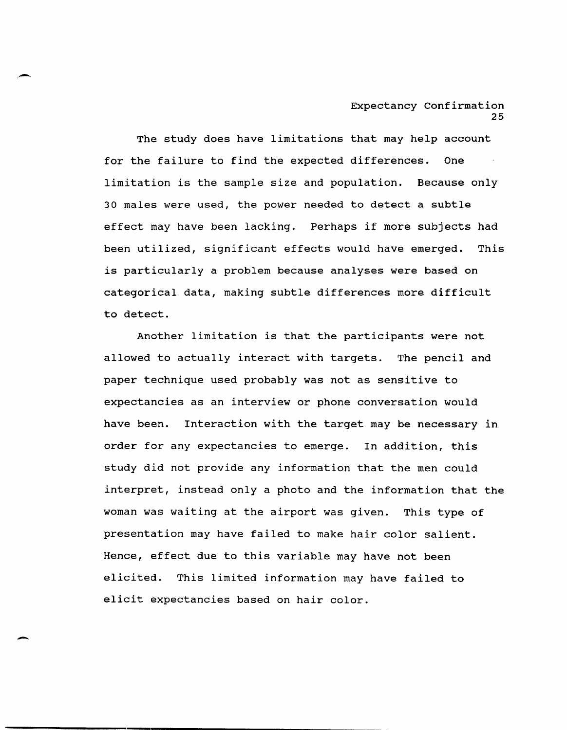The study does have limitations that may help account for the failure to find the expected differences. One limitation is the sample size and population. Because only 30 males were used, the power needed to detect a subtle effect may have been lacking. Perhaps if more subjects had been utilized, significant effects would have emerged. This is particularly a problem because analyses were based on categorical data, making subtle differences more difficult to detect.

Another limitation is that the participants were not allowed to actually interact with targets. The pencil and paper technique used probably was not as sensitive to expectancies as an interview or phone conversation would have been. Interaction with the target may be necessary in order for any expectancies to emerge. In addition, this study did not provide any information that the men could interpret, instead only a photo and the information that the woman was waiting at the airport was given. This type of presentation may have failed to make hair color salient. Hence, effect due to this variable may have not been elicited. This limited information may have failed to elicit expectancies based on hair color.

-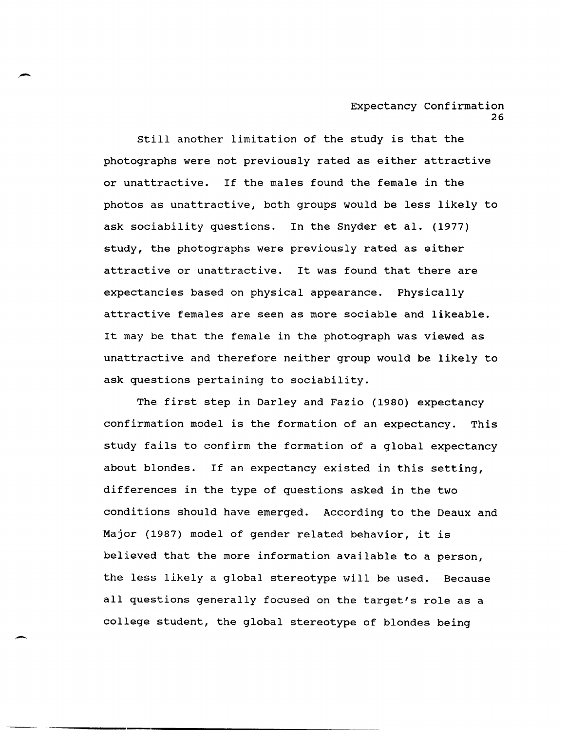still another limitation of the study is that the photographs were not previously rated as either attractive or unattractive. If the males found the female in the photos as unattractive, both groups would be less likely to ask sociability questions. In the Snyder et al. (1977) study, the photographs were previously rated as either attractive or unattractive. It was found that there are expectancies based on physical appearance. Physically attractive females are seen as more sociable and likeable. It may be that the female in the photograph was viewed as unattractive and therefore neither group would be likely to ask questions pertaining to sociability.

The first step in Darley and Fazio (1980) expectancy confirmation model is the formation of an expectancy. This study fails to confirm the formation of a global expectancy about blondes. If an expectancy existed in this setting, differences in the type of questions asked in the two conditions should have emerged. According to the Deaux and Major (1987) model of gender related behavior, it is believed that the more information available to a person, the less likely a global stereotype will be used. Because all questions generally focused on the target's role as a college student, the global stereotype of blondes being

--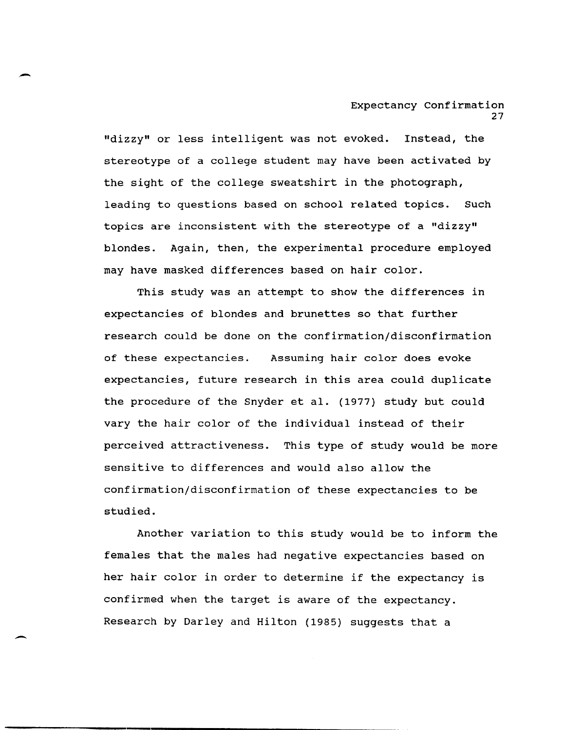"dizzy" or less intelligent was not evoked. Instead, the stereotype of a college student may have been activated by the sight of the college sweatshirt in the photograph, leading to questions based on school related topics. such topics are inconsistent with the stereotype of a "dizzy" blondes. Again, then, the experimental procedure employed may have masked differences based on hair color.

This study was an attempt to show the differences in expectancies of blondes and brunettes so that further research could be done on the confirmation/disconfirmation of these expectancies. Assuming hair color does evoke expectancies, future research in this area could duplicate the procedure of the Snyder et al. (1977) study but could vary the hair color of the individual instead of their perceived attractiveness. This type of study would be more sensitive to differences and would also allow the confirmation/disconfirmation of these expectancies to be studied.

Another variation to this study would be to inform the females that the males had negative expectancies based on her hair color in order to determine if the expectancy is confirmed when the target is aware of the expectancy. Research by Darley and Hilton (1985) suggests that a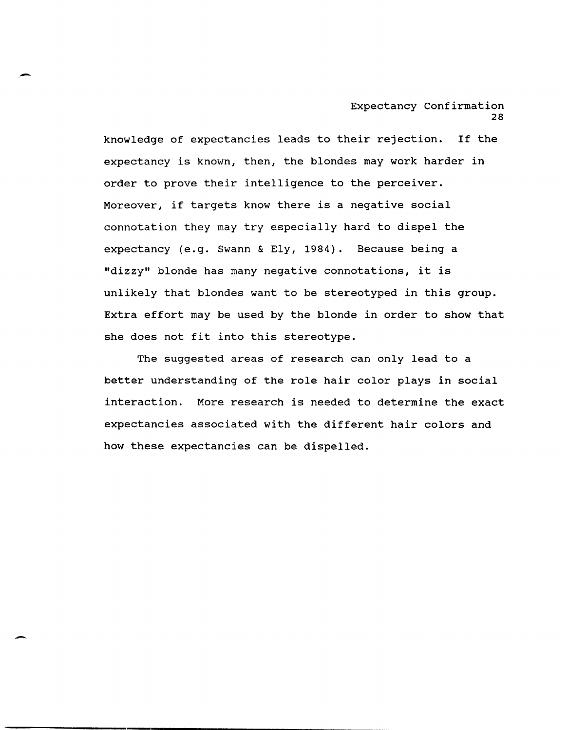knowledge of expectancies leads to their rejection. If the expectancy is known, then, the blondes may work harder in order to prove their intelligence to the perceiver. Moreover, if targets know there is a negative social connotation they may try especially hard to dispel the expectancy (e.g. Swann & Ely, 1984). Because being a "dizzy" blonde has many negative connotations, it is unlikely that blondes want to be stereotyped in this group. Extra effort may be used by the blonde in order to show that she does not fit into this stereotype.

--

-

The suggested areas of research can only lead to a better understanding of the role hair color plays in social interaction. More research is needed to determine the exact expectancies associated with the different hair colors and how these expectancies can be dispelled.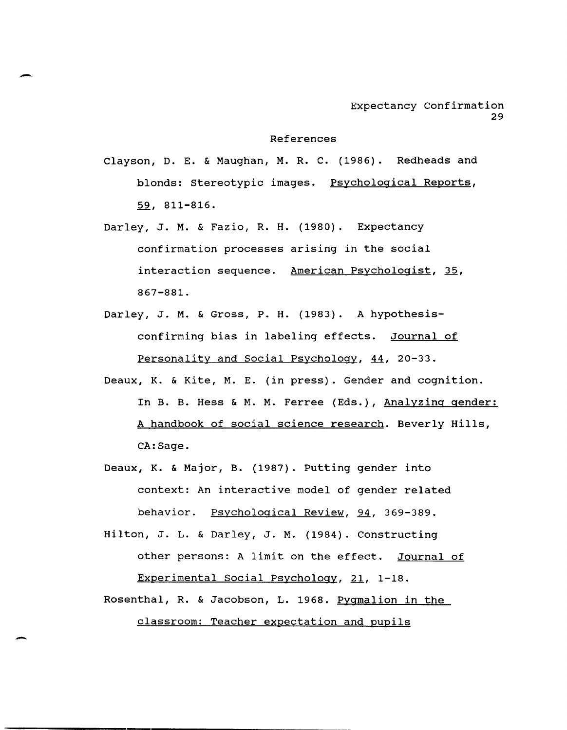#### References

Clayson, D. E. & Maughan, M. R. C. (1986). Redheads and blonds: Stereotypic images. Psychological Reports, 59, 811-816.

- Darley, J. M. & Fazio, R. H. (1980). Expectancy confirmation processes arising in the social interaction sequence. American Psychologist, 35, 867-881.
- Darley, J. M. & Gross, P. H. (1983). A hypothesisconfirming bias in labeling effects. Journal of Personality and social Psychology, 44, 20-33.
- Deaux, K. & Kite, M. E. (in press). Gender and cognition. In B. B. Hess & M. M. Ferree (Eds.), Analyzing gender: A handbook of social science research. Beverly Hills, CA:Sage.
- Deaux, K. & Major, B. (1987). Putting gender into context: An interactive model of gender related behavior. Psychological Review, 94, 369-389.
- Hilton, J. L. & Darley, J. M. (1984). constructing other persons: A limit on the effect. Journal of Experimental Social Psychology, 21, 1-18.
- Rosenthal, R. & Jacobson, L. 1968. Pygmalion in the classroom: Teacher expectation and pupils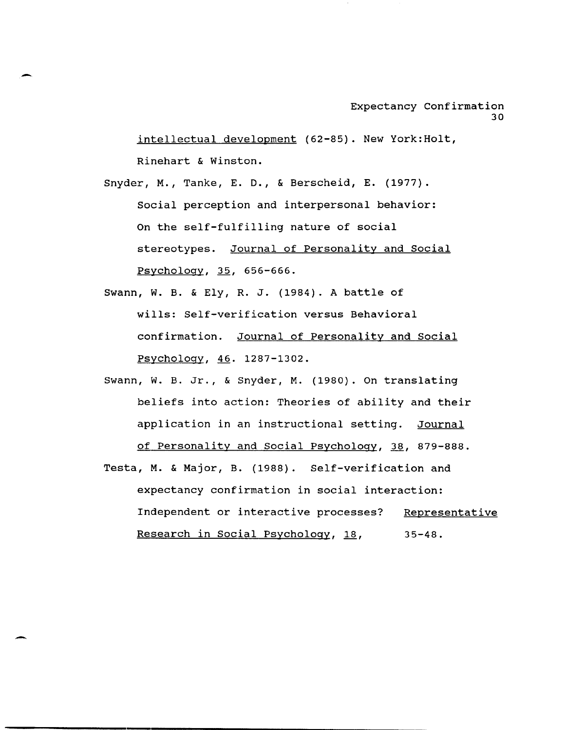intellectual development (62-85). New York:Holt, Rinehart & Winston.

Snyder, M., Tanke, E. D., & Berscheid, E. (1977). Social perception and interpersonal behavior: On the self-fulfilling nature of social stereotypes. Journal of Personality and Social Psychology, 35, 656-666.

Swann, W. B. & Ely, R. J. (1984). A battle of wills: Self-verification versus Behavioral confirmation. Journal of Personality and Social Psychology, 46. 1287-1302.

- Swann, W. B. Jr., & Snyder, M. (1980). On translating beliefs into action: Theories of ability and their application in an instructional setting. Journal of Personality and Social Psychology, 38, 879-888.
- Testa, M. & Major, B. (1988). Self-verification and expectancy confirmation in social interaction: Independent or interactive processes? Representative Research in Social Psychology, 18, 35-48.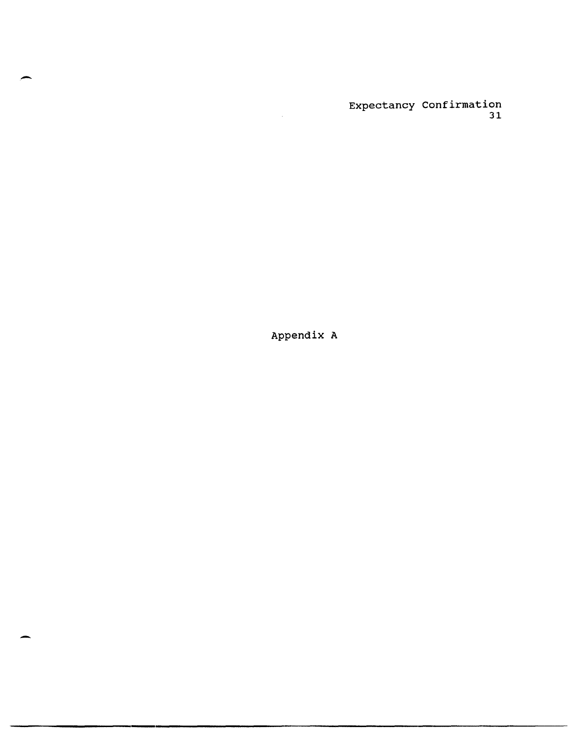Appendix A

-

-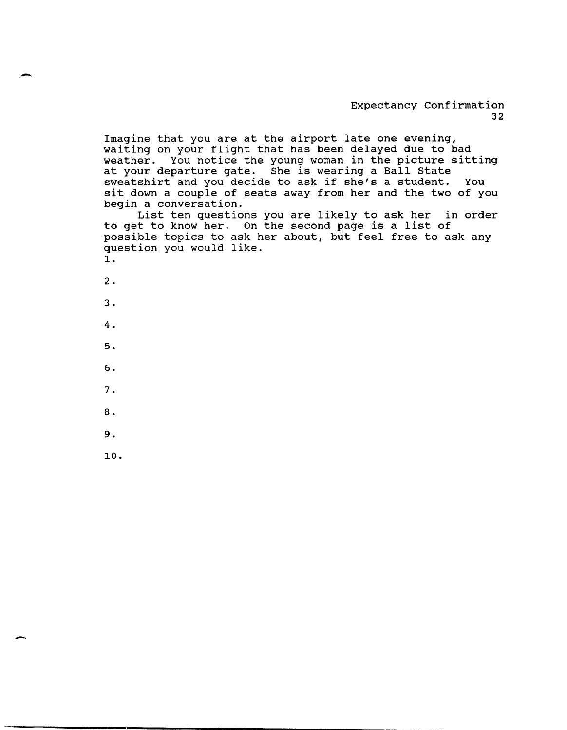Imagine that you are at the airport late one evening, waiting on your flight that has been delayed due to bad weather. You notice the young woman in the picture sitting at your departure gate. She is wearing a Ball State sweatshirt and you decide to ask if she's a student. You sit down a couple of seats away from her and the two of you begin a conversation.

List ten questions you are likely to ask her in order to get to know her. On the second page is a list of possible topics to ask her about, but feel free to ask any question you would like. 1.

2 . 3 . 4. 5. 6. 7.

-

-

- 8.
- 9.
- 10.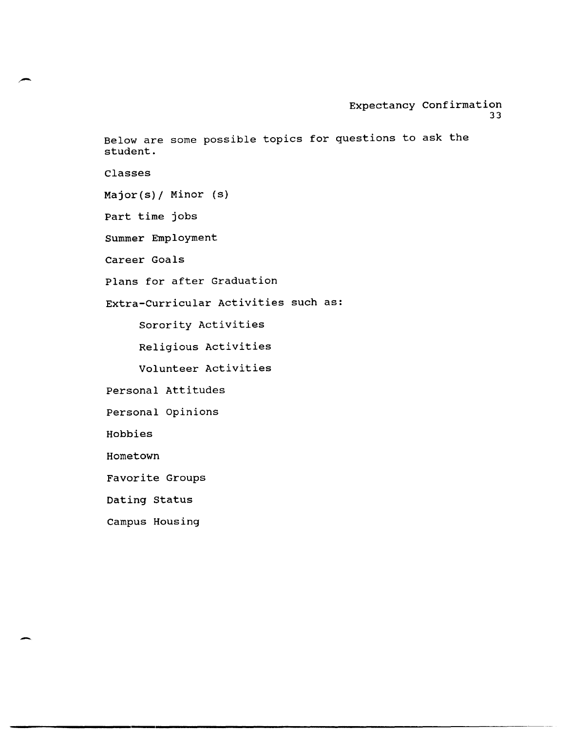Below are some possible topics for questions to ask the student.

Classes

Major(s)/ Minor (s)

Part time jobs

Summer Employment

Career Goals

Plans for after Graduation

Extra-Curricular Activities such as:

Sorority Activities

Religious Activities

Volunteer Activities

Personal Attitudes

Personal Opinions

Hobbies

Hometown

-

Favorite Groups

Dating Status

Campus Housing